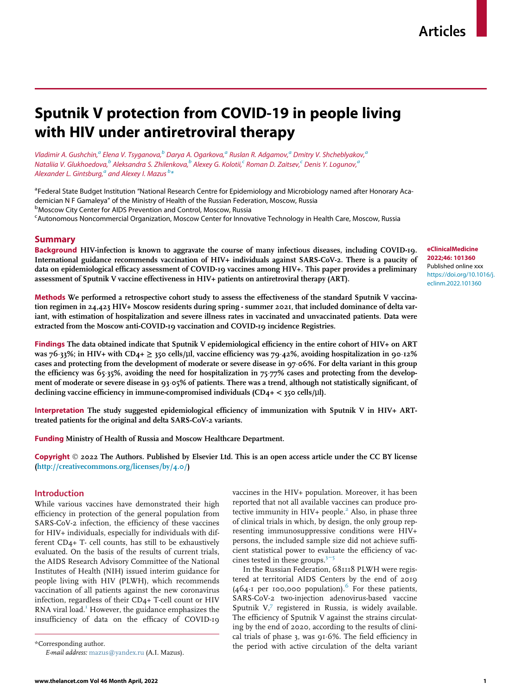# Sputnik V protection from COVID-19 in people living with HIV under antiretroviral therapy

Vl[a](#page-0-0)dimir A. Gushchin,<sup>a</sup> Elena V. Tsyganova,<sup>[b](#page-0-1)</sup> Darya A. Ogarkova,<sup>a</sup> Ruslan R. Adgamov,<sup>a</sup> Dmitry V. Shcheblyakov,<sup>a</sup> N[a](#page-0-0)taliia V. Glukhoedova, $b$  Aleksandra S. Zhilenkova, $b$  Alexey G. Kolotii, $c$  Roman D. Zaitsev, $c$  Denis Y. Logunov, $a$ Alex[a](#page-0-0)nder L. Gints[b](#page-0-1)urg, $^a$  and Alexey I. Mazus  $^b\ast$ 

<span id="page-0-1"></span><span id="page-0-0"></span><sup>a</sup>Federal State Budget Institution "National Research Centre for Epidemiology and Microbiology named after Honorary Academician N F Gamaleya" of the Ministry of Health of the Russian Federation, Moscow, Russia <sup>b</sup> Moscow City Center for AIDS Prevention and Control, Moscow, Russia <sup>c</sup>Autonomous Noncommercial Organization, Moscow Center for Innovative Technology in Health Care, Moscow, Russia

## <span id="page-0-2"></span>Summary

Background HIV-infection is known to aggravate the course of many infectious diseases, including COVID-19. International guidance recommends vaccination of HIV+ individuals against SARS-CoV-2. There is a paucity of data on epidemiological efficacy assessment of COVID-19 vaccines among HIV+. This paper provides a preliminary assessment of Sputnik V vaccine effectiveness in HIV+ patients on antiretroviral therapy (ART).

Methods We performed a retrospective cohort study to assess the effectiveness of the standard Sputnik V vaccination regimen in 24,423 HIV+ Moscow residents during spring - summer 2021, that included dominance of delta variant, with estimation of hospitalization and severe illness rates in vaccinated and unvaccinated patients. Data were extracted from the Moscow anti-COVID-19 vaccination and COVID-19 incidence Registries.

Findings The data obtained indicate that Sputnik V epidemiological efficiency in the entire cohort of HIV+ on ART was 76 $\cdot$ 33%; in HIV+ with CD4+  $\geq$  350 cells/µl, vaccine efficiency was 79 $\cdot$ 42%, avoiding hospitalization in 90 $\cdot$ 12% cases and protecting from the development of moderate or severe disease in 97 06%. For delta variant in this group the efficiency was 65.35%, avoiding the need for hospitalization in 75.77% cases and protecting from the development of moderate or severe disease in 93.05% of patients. There was a trend, although not statistically significant, of declining vaccine efficiency in immune-compromised individuals (CD4+ < 350 cells/µl).

Interpretation The study suggested epidemiological efficiency of immunization with Sputnik V in HIV+ ARTtreated patients for the original and delta SARS-CoV-2 variants.

Funding Ministry of Health of Russia and Moscow Healthcare Department.

Copyright  $@$  2022 The Authors. Published by Elsevier Ltd. This is an open access article under the CC BY license [\(http://creativecommons.org/licenses/by/4.0/\)](http://creativecommons.org/licenses/by/4.0/)

#### Introduction

While various vaccines have demonstrated their high efficiency in protection of the general population from SARS-CoV-2 infection, the efficiency of these vaccines for HIV+ individuals, especially for individuals with different CD4+ T- cell counts, has still to be exhaustively evaluated. On the basis of the results of current trials, the AIDS Research Advisory Committee of the National Institutes of Health (NIH) issued interim guidance for people living with HIV (PLWH), which recommends vaccination of all patients against the new coronavirus infection, regardless of their CD4+ T-cell count or HIV RNA viral load.<sup>[1](#page-8-0)</sup> However, the guidance emphasizes the insufficiency of data on the efficacy of COVID-19

<span id="page-0-3"></span>E-mail address: [mazus@yandex.ru](mailto:mazus@yandex.ru) (A.I. Mazus).

vaccines in the HIV+ population. Moreover, it has been reported that not all available vaccines can produce protective immunity in HIV+ people.<sup>2</sup> Also, in phase three of clinical trials in which, by design, the only group representing immunosuppressive conditions were HIV+ persons, the included sample size did not achieve sufficient statistical power to evaluate the efficiency of vaccines tested in these groups.3[−](#page-8-2)<sup>5</sup>

In the Russian Federation, 681118 PLWH were registered at territorial AIDS Centers by the end of 2019 (4[6](#page-8-3)4 $\cdot$ I per 100,000 population). For these patients, SARS-CoV-2 two-injection adenovirus-based vaccine Sputnik V,[7](#page-8-4) registered in Russia, is widely available. The efficiency of Sputnik V against the strains circulating by the end of 2020, according to the results of clinical trials of phase 3, was  $91.6\%$ . The field efficiency in the period with active circulation of the delta variant \*Corresponding author.

eClinicalMedicine 2022;46: 101360 Published online xxx [https://doi.org/10.1016/j.](https://doi.org/10.1016/j.eclinm.2022.101360) [eclinm.2022.101360](https://doi.org/10.1016/j.eclinm.2022.101360)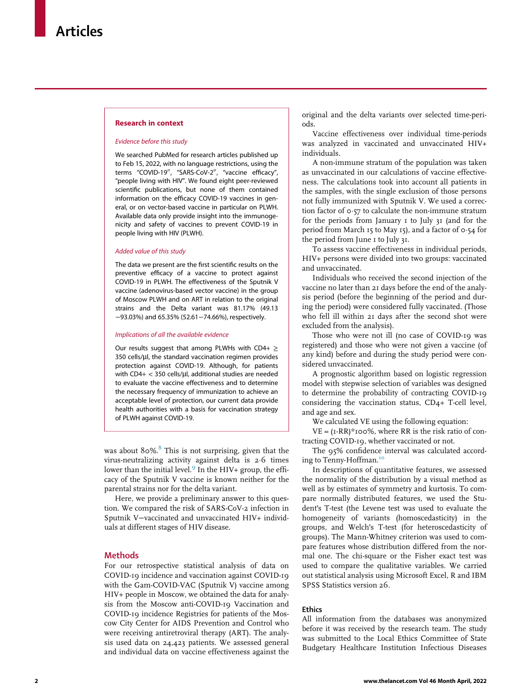#### Research in context

#### Evidence before this study

We searched PubMed for research articles published up to Feb 15, 2022, with no language restrictions, using the terms "COVID-19", "SARS-CoV-2", "vaccine efficacy", "people living with HIV". We found eight peer-reviewed scientific publications, but none of them contained information on the efficacy COVID-19 vaccines in general, or on vector-based vaccine in particular on PLWH. Available data only provide insight into the immunogenicity and safety of vaccines to prevent COVID-19 in people living with HIV (PLWH).

#### Added value of this study

The data we present are the first scientific results on the preventive efficacy of a vaccine to protect against COVID-19 in PLWH. The effectiveness of the Sputnik V vaccine (adenovirus-based vector vaccine) in the group of Moscow PLWH and on ART in relation to the original strains and the Delta variant was 81.17% (49.13 −93.03%) and 65.35% (52.61−74.66%), respectively.

#### Implications of all the available evidence

Our results suggest that among PLWHs with CD4+  $\geq$ 350 cells/µl, the standard vaccination regimen provides protection against COVID-19. Although, for patients with CD4+  $<$  350 cells/ $\mu$ l, additional studies are needed to evaluate the vaccine effectiveness and to determine the necessary frequency of immunization to achieve an acceptable level of protection, our current data provide health authorities with a basis for vaccination strategy of PLWH against COVID-19.

was about  $80\%$  $80\%$ .<sup>8</sup> This is not surprising, given that the virus-neutralizing activity against delta is 2.6 times lower than the initial level. $9$  In the HIV+ group, the efficacy of the Sputnik V vaccine is known neither for the parental strains nor for the delta variant.

Here, we provide a preliminary answer to this question. We compared the risk of SARS-CoV-2 infection in Sputnik V−vaccinated and unvaccinated HIV+ individuals at different stages of HIV disease.

## **Methods**

For our retrospective statistical analysis of data on COVID-19 incidence and vaccination against COVID-19 with the Gam-COVID-VAC (Sputnik V) vaccine among HIV+ people in Moscow, we obtained the data for analysis from the Moscow anti-COVID-19 Vaccination and COVID-19 incidence Registries for patients of the Moscow City Center for AIDS Prevention and Control who were receiving antiretroviral therapy (ART). The analysis used data on 24,423 patients. We assessed general and individual data on vaccine effectiveness against the original and the delta variants over selected time-periods.

Vaccine effectiveness over individual time-periods was analyzed in vaccinated and unvaccinated HIV+ individuals.

A non-immune stratum of the population was taken as unvaccinated in our calculations of vaccine effectiveness. The calculations took into account all patients in the samples, with the single exclusion of those persons not fully immunized with Sputnik V. We used a correction factor of  $\circ$ -57 to calculate the non-immune stratum for the periods from January 1 to July 31 (and for the period from March 15 to May 15), and a factor of  $\circ$ -54 for the period from June 1 to July 31.

To assess vaccine effectiveness in individual periods, HIV+ persons were divided into two groups: vaccinated and unvaccinated.

Individuals who received the second injection of the vaccine no later than 21 days before the end of the analysis period (before the beginning of the period and during the period) were considered fully vaccinated. (Those who fell ill within 21 days after the second shot were excluded from the analysis).

Those who were not ill (no case of COVID-19 was registered) and those who were not given a vaccine (of any kind) before and during the study period were considered unvaccinated.

A prognostic algorithm based on logistic regression model with stepwise selection of variables was designed to determine the probability of contracting COVID-19 considering the vaccination status, CD4+ T-cell level, and age and sex.

We calculated VE using the following equation:

 $VE = (I-RR)*100\%$ , where RR is the risk ratio of contracting COVID-19, whether vaccinated or not.

The 95% confidence interval was calculated accord-ing to Tenny-Hoffman.<sup>[10](#page-8-7)</sup>

In descriptions of quantitative features, we assessed the normality of the distribution by a visual method as well as by estimates of symmetry and kurtosis. To compare normally distributed features, we used the Student's T-test (the Levene test was used to evaluate the homogeneity of variants (homoscedasticity) in the groups, and Welch's T-test (for heteroscedasticity of groups). The Mann-Whitney criterion was used to compare features whose distribution differed from the normal one. The chi-square or the Fisher exact test was used to compare the qualitative variables. We carried out statistical analysis using Microsoft Excel, R and IBM SPSS Statistics version 26.

# Ethics

All information from the databases was anonymized before it was received by the research team. The study was submitted to the Local Ethics Committee of State Budgetary Healthcare Institution Infectious Diseases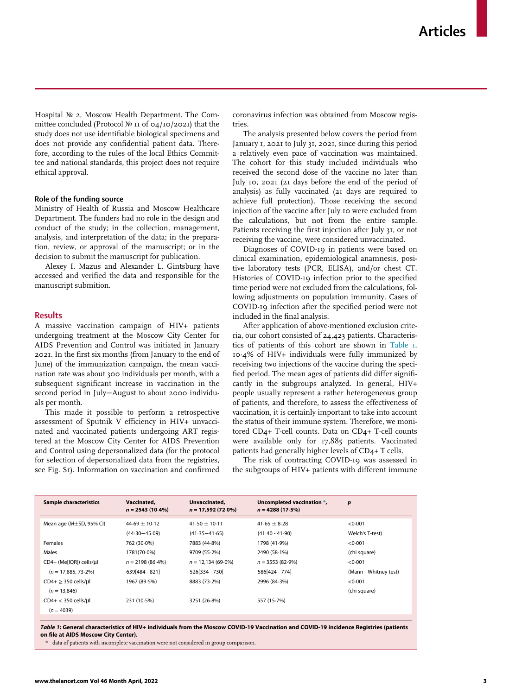Hospital  $N<sub>2</sub>$  2, Moscow Health Department. The Committee concluded (Protocol  $N<sup>0</sup>$  II of 04/10/2021) that the study does not use identifiable biological specimens and does not provide any confidential patient data. Therefore, according to the rules of the local Ethics Committee and national standards, this project does not require ethical approval.

#### Role of the funding source

Ministry of Health of Russia and Moscow Healthcare Department. The funders had no role in the design and conduct of the study; in the collection, management, analysis, and interpretation of the data; in the preparation, review, or approval of the manuscript; or in the decision to submit the manuscript for publication.

Alexey I. Mazus and Alexander L. Gintsburg have accessed and verified the data and responsible for the manuscript submition.

#### Results

A massive vaccination campaign of HIV+ patients undergoing treatment at the Moscow City Center for AIDS Prevention and Control was initiated in January 2021. In the first six months (from January to the end of June) of the immunization campaign, the mean vaccination rate was about 300 individuals per month, with a subsequent significant increase in vaccination in the second period in July−August to about 2000 individuals per month.

This made it possible to perform a retrospective assessment of Sputnik V efficiency in HIV+ unvaccinated and vaccinated patients undergoing ART registered at the Moscow City Center for AIDS Prevention and Control using depersonalized data (for the protocol for selection of depersonalized data from the registries, see Fig. S<sub>1</sub>). Information on vaccination and confirmed coronavirus infection was obtained from Moscow registries.

The analysis presented below covers the period from January 1, 2021 to July 31, 2021, since during this period a relatively even pace of vaccination was maintained. The cohort for this study included individuals who received the second dose of the vaccine no later than July 10, 2021 (21 days before the end of the period of analysis) as fully vaccinated (21 days are required to achieve full protection). Those receiving the second injection of the vaccine after July 10 were excluded from the calculations, but not from the entire sample. Patients receiving the first injection after July 31, or not receiving the vaccine, were considered unvaccinated.

Diagnoses of COVID-19 in patients were based on clinical examination, epidemiological anamnesis, positive laboratory tests (PCR, ELISA), and/or chest CT. Histories of COVID-19 infection prior to the specified time period were not excluded from the calculations, following adjustments on population immunity. Cases of COVID-19 infection after the specified period were not included in the final analysis.

After application of above-mentioned exclusion criteria, our cohort consisted of 24,423 patients. Characteristics of patients of this cohort are shown in [Table 1.](#page-2-0) 10¢4% of HIV+ individuals were fully immunized by receiving two injections of the vaccine during the specified period. The mean ages of patients did differ significantly in the subgroups analyzed. In general, HIV+ people usually represent a rather heterogeneous group of patients, and therefore, to assess the effectiveness of vaccination, it is certainly important to take into account the status of their immune system. Therefore, we monitored CD4+ T-cell counts. Data on CD4+ T-cell counts were available only for 17,885 patients. Vaccinated patients had generally higher levels of CD4+ T cells.

The risk of contracting COVID-19 was assessed in the subgroups of HIV+ patients with different immune

<span id="page-2-0"></span>

| <b>Sample characteristics</b> | Vaccinated,        | Unvaccinated,        | Uncompleted vaccination *, | $\boldsymbol{p}$      |
|-------------------------------|--------------------|----------------------|----------------------------|-----------------------|
|                               | $n = 2543(10.4\%)$ | $n = 17.592(72.0\%)$ | $n = 4288(17.5%)$          |                       |
| Mean age $(M\pm SD, 95\%$ CI) | $44.69 + 10.12$    | $41.50 + 10.11$      | $41.65 + 8.28$             | < 0.001               |
|                               | $(44.30 - 45.09)$  | $(41.35 - 41.65)$    | $(41.40 - 41.90)$          | Welch's T-test)       |
| <b>Females</b>                | 762 (30.0%)        | 7883 (44.8%)         | 1798 (41.9%)               | < 0.001               |
| Males                         | 1781(70.0%)        | 9709(55.2%)          | 2490 (58.1%)               | (chi square)          |
| CD4+ (Me[IQR]) cells/µl       | $n = 2198(86.4\%)$ | $n = 12.134(69.0\%)$ | $n = 3553(82.9%)$          | < 0.001               |
| $(n = 17.885, 73.2\%)$        | 639 [484 - 821]    | 526 334 - 730 1      | 586[424 - 774]             | (Mann - Whitney test) |
| $CD4+ \geq 350$ cells/µl      | 1967 (89.5%)       | 8883 (73.2%)         | 2996 (84.3%)               | < 0.001               |
| $(n = 13.846)$                |                    |                      |                            | (chi square)          |
| $CD4+ < 350$ cells/µl         | 231 (10.5%)        | 3251 (26.8%)         | 557 (15.7%)                |                       |
| $(n = 4039)$                  |                    |                      |                            |                       |

<span id="page-2-1"></span>Table 1: General characteristics of HIV+ individuals from the Moscow COVID-19 Vaccination and COVID-19 incidence Registries (patients on file at AIDS Moscow City Center).

data of patients with incomplete vaccination were not considered in group comparison.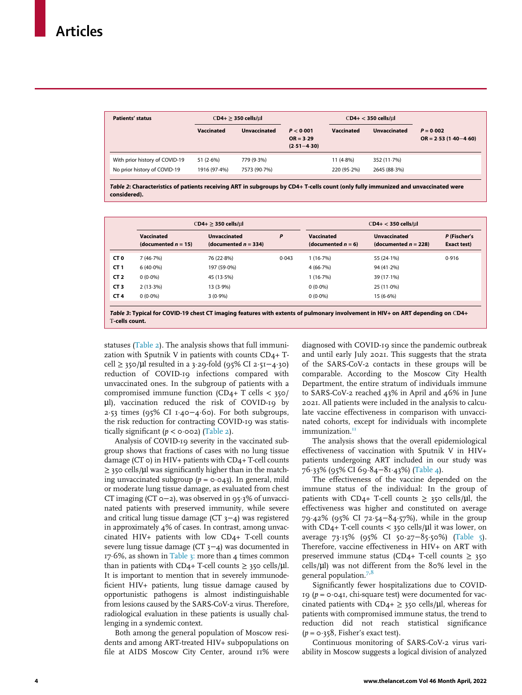<span id="page-3-0"></span>

| <b>Patients' status</b>                                        | $CD4+ \geq 350$ cells/µl |                            |                                             | $CD4+ < 350$ cells/ $\mu$ l |                             |                                         |
|----------------------------------------------------------------|--------------------------|----------------------------|---------------------------------------------|-----------------------------|-----------------------------|-----------------------------------------|
|                                                                | Vaccinated               | <b>Unvaccinated</b>        | P < 0.001<br>$OR = 3.29$<br>$(2.51 - 4.30)$ | <b>Vaccinated</b>           | <b>Unvaccinated</b>         | $P = 0.002$<br>$OR = 2.53(1.40 - 4.60)$ |
| With prior history of COVID-19<br>No prior history of COVID-19 | 51(2.6%)<br>1916 (97-4%) | 779 (9.3%)<br>7573 (90.7%) |                                             | $11(4.8\%)$<br>220 (95.2%)  | 352 (11.7%)<br>2645 (88.3%) |                                         |

Table 2: Characteristics of patients receiving ART in subgroups by CD4+ T-cells count (only fully immunized and unvaccinated were considered).

<span id="page-3-1"></span>

|                 | $CD4+$ > 350 cells/ $ul$             |                                                |       |                                     | $CD4+ < 350$ cells/ul                          |                                    |  |
|-----------------|--------------------------------------|------------------------------------------------|-------|-------------------------------------|------------------------------------------------|------------------------------------|--|
|                 | Vaccinated<br>(documented $n = 15$ ) | <b>Unvaccinated</b><br>(documented $n = 334$ ) | P     | Vaccinated<br>(documented $n = 6$ ) | <b>Unvaccinated</b><br>(documented $n = 228$ ) | P (Fischer's<br><b>Exact test)</b> |  |
| CT 0            | 7(46.7%)                             | 76 (22.8%)                                     | 0.043 | 1(16.7%)                            | 55 (24.1%)                                     | 0.916                              |  |
| CT <sub>1</sub> | $6(40.0\%)$                          | 197 (59.0%)                                    |       | $4(66.7\%)$                         | 94(41.2%)                                      |                                    |  |
| CT <sub>2</sub> | $0(0.0\%)$                           | 45 (13.5%)                                     |       | 1(16.7%)                            | $39(17.1\%)$                                   |                                    |  |
| CT <sub>3</sub> | $2(13.3\%)$                          | $13(3.9\%)$                                    |       | $0(0.0\%)$                          | $25(11.0\%)$                                   |                                    |  |
| CT <sub>4</sub> | $0(0.0\%)$                           | $3(0.9\%)$                                     |       | $0(0.0\%)$                          | $15(6.6\%)$                                    |                                    |  |

statuses [\(Table 2\)](#page-3-0). The analysis shows that full immunization with Sputnik V in patients with counts CD4+ Tcell ≥ 350/µl resulted in a 3¢29-fold (95% CI 2¢51−4¢30) reduction of COVID-19 infections compared with unvaccinated ones. In the subgroup of patients with a compromised immune function (CD4+ T cells < 350/ µl), vaccination reduced the risk of COVID-19 by 2¢53 times (95% CI 1¢40−4¢60). For both subgroups, the risk reduction for contracting COVID-19 was statistically significant ( $p < \text{o} \cdot \text{o} \cdot \text{o}$ ). ([Table 2\)](#page-3-0).

T-cells count.

Analysis of COVID-19 severity in the vaccinated subgroup shows that fractions of cases with no lung tissue damage (CT $\circ$ ) in HIV+ patients with CD4+ T-cell counts  $\geq$  350 cells/µl was significantly higher than in the matching unvaccinated subgroup ( $p = \text{o} \cdot \text{o} \cdot 43$ ). In general, mild or moderate lung tissue damage, as evaluated from chest CT imaging (CT 0−2), was observed in 95.3% of unvaccinated patients with preserved immunity, while severe and critical lung tissue damage (CT 3−4) was registered in approximately 4% of cases. In contrast, among unvaccinated HIV+ patients with low CD4+ T-cell counts severe lung tissue damage (CT 3−4) was documented in 17 $\cdot$ 6%, as shown in [Table 3:](#page-3-1) more than 4 times common than in patients with CD4+ T-cell counts  $\geq$  350 cells/ $\mu$ l. It is important to mention that in severely immunodeficient HIV+ patients, lung tissue damage caused by opportunistic pathogens is almost indistinguishable from lesions caused by the SARS-CoV-2 virus. Therefore, radiological evaluation in these patients is usually challenging in a syndemic context.

Both among the general population of Moscow residents and among ART-treated HIV+ subpopulations on file at AIDS Moscow City Center, around 11% were

diagnosed with COVID-19 since the pandemic outbreak and until early July 2021. This suggests that the strata of the SARS-CoV-2 contacts in these groups will be comparable. According to the Moscow City Health Department, the entire stratum of individuals immune to SARS-CoV-2 reached 43% in April and 46% in June 2021. All patients were included in the analysis to calculate vaccine effectiveness in comparison with unvaccinated cohorts, except for individuals with incomplete immunization.<sup>1</sup>

The analysis shows that the overall epidemiological effectiveness of vaccination with Sputnik V in HIV+ patients undergoing ART included in our study was 76¢33% (95% CI 69¢84−81¢43%) [\(Table 4](#page-4-0)).

The effectiveness of the vaccine depended on the immune status of the individual: In the group of patients with CD4+ T-cell counts  $\geq$  350 cells/ $\mu$ l, the effectiveness was higher and constituted on average 79¢42% (95% CI 72¢54−84¢57%), while in the group with  $CD_4$ + T-cell counts < 350 cells/ $\mu$ l it was lower, on average 73¢15% (95% CI 50¢27−85¢50%) ([Table 5\)](#page-4-1). Therefore, vaccine effectiveness in HIV+ on ART with preserved immune status (CD4+ T-cell counts  $\geq$  350 cells/µl) was not different from the 80% level in the general population.<sup>[7](#page-8-4),[8](#page-8-5)</sup>

Significantly fewer hospitalizations due to COVID-19 ( $p = 0.041$ , chi-square test) were documented for vaccinated patients with  $CD_{4+} \geq 350$  cells/ $\mu$ l, whereas for patients with compromised immune status, the trend to reduction did not reach statistical significance  $(p = 0.358,$  Fisher's exact test).

Continuous monitoring of SARS-CoV-2 virus variability in Moscow suggests a logical division of analyzed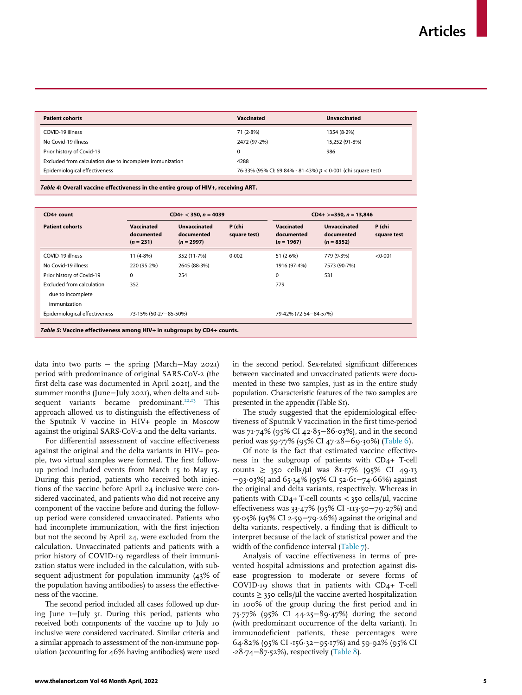<span id="page-4-0"></span>

| <b>Patient cohorts</b>                                   | Vaccinated                                                     | <b>Unvaccinated</b> |  |
|----------------------------------------------------------|----------------------------------------------------------------|---------------------|--|
| COVID-19 illness                                         | 71 (2.8%)                                                      | 1354 (8-2%)         |  |
| No Covid-19 illness                                      | 2472 (97.2%)                                                   | 15,252 (91.8%)      |  |
| Prior history of Covid-19                                | $\Omega$                                                       | 986                 |  |
| Excluded from calculation due to incomplete immunization | 4288                                                           |                     |  |
| Epidemiological effectiveness                            | 76.33% (95% CI: 69.84% - 81.43%) $p < 0.001$ (chi square test) |                     |  |
|                                                          |                                                                |                     |  |

Table 4: Overall vaccine effectiveness in the entire group of HIV+, receiving ART.

<span id="page-4-1"></span>

| CD4+ count                                                                                                                             |                                         | $CD4+ < 350, n = 4039$                            |                        |                                                 | $CD4+ > = 350, n = 13,846$                        |                       |  |
|----------------------------------------------------------------------------------------------------------------------------------------|-----------------------------------------|---------------------------------------------------|------------------------|-------------------------------------------------|---------------------------------------------------|-----------------------|--|
| <b>Patient cohorts</b>                                                                                                                 | Vaccinated<br>documented<br>$(n = 231)$ | <b>Unvaccinated</b><br>documented<br>$(n = 2997)$ | P (chi<br>square test) | <b>Vaccinated</b><br>documented<br>$(n = 1967)$ | <b>Unvaccinated</b><br>documented<br>$(n = 8352)$ | P (chi<br>square test |  |
| COVID-19 illness<br>No Covid-19 illness<br>Prior history of Covid-19<br>Excluded from calculation<br>due to incomplete<br>immunization | $11(4.8\%)$<br>220 (95.2%)<br>0<br>352  | 352 (11.7%)<br>2645 (88.3%)<br>254                | 0.002                  | 51 $(2.6%)$<br>1916 (97-4%)<br>0<br>779         | 779 (9.3%)<br>7573 (90.7%)<br>531                 | < 0.001               |  |
| Epidemiological effectiveness                                                                                                          | 73-15% (50-27-85-50%)                   |                                                   |                        | 79.42% (72.54-84.57%)                           |                                                   |                       |  |
| Table 5: Vaccine effectiveness among HIV+ in subgroups by CD4+ counts.                                                                 |                                         |                                                   |                        |                                                 |                                                   |                       |  |

data into two parts − the spring (March−May 2021) period with predominance of original SARS-CoV-2 (the first delta case was documented in April 2021), and the summer months (June−July 2021), when delta and sub-sequent variants became predominant.<sup>[12](#page-8-9),[13](#page-8-10)</sup> This approach allowed us to distinguish the effectiveness of the Sputnik V vaccine in HIV+ people in Moscow against the original SARS-CoV-2 and the delta variants.

For differential assessment of vaccine effectiveness against the original and the delta variants in HIV+ people, two virtual samples were formed. The first followup period included events from March 15 to May 15. During this period, patients who received both injections of the vaccine before April 24 inclusive were considered vaccinated, and patients who did not receive any component of the vaccine before and during the followup period were considered unvaccinated. Patients who had incomplete immunization, with the first injection but not the second by April 24, were excluded from the calculation. Unvaccinated patients and patients with a prior history of COVID-19 regardless of their immunization status were included in the calculation, with subsequent adjustment for population immunity (43% of the population having antibodies) to assess the effectiveness of the vaccine.

The second period included all cases followed up during June 1−July 31. During this period, patients who received both components of the vaccine up to July 10 inclusive were considered vaccinated. Similar criteria and a similar approach to assessment of the non-immune population (accounting for 46% having antibodies) were used

in the second period. Sex-related significant differences between vaccinated and unvaccinated patients were documented in these two samples, just as in the entire study population. Characteristic features of the two samples are presented in the appendix (Table S1).

The study suggested that the epidemiological effectiveness of Sputnik V vaccination in the first time-period was 71.74% (95% CI 42.85–86.03%), and in the second period was 59.77% (95% CI 47⋅28−69⋅30%) [\(Table 6\)](#page-5-0).

Of note is the fact that estimated vaccine effectiveness in the subgroup of patients with CD4+ T-cell counts  $\geq$  350 cells/µl was 81.17% (95% CI 49.13) −93¢03%) and 65¢34% (95% CI 52¢61−74¢66%) against the original and delta variants, respectively. Whereas in patients with  $CD4+T$ -cell counts < 350 cells/ $\mu$ l, vaccine effectiveness was 33.47% (95% CI -113.50-79.27%) and 55¢05% (95% CI 2¢59−79¢26%) against the original and delta variants, respectively, a finding that is difficult to interpret because of the lack of statistical power and the width of the confidence interval ([Table 7](#page-5-1)).

Analysis of vaccine effectiveness in terms of prevented hospital admissions and protection against disease progression to moderate or severe forms of COVID-19 shows that in patients with CD4+ T-cell counts  $\geq$  350 cells/ $\mu$ l the vaccine averted hospitalization in 100% of the group during the first period and in 75¢77% (95% CI 44¢25−89¢47%) during the second (with predominant occurrence of the delta variant). In immunodeficient patients, these percentages were 64¢82% (95% CI -156¢32−95¢17%) and 59¢92% (95% CI -28¢74−87¢52%), respectively [\(Table 8\)](#page-6-0).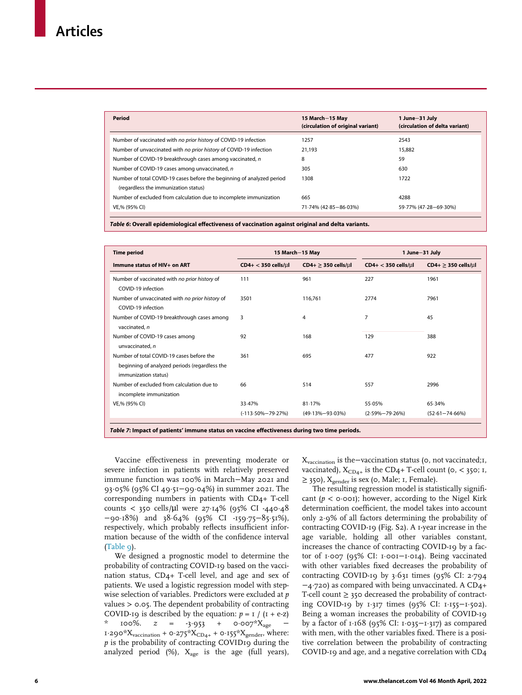<span id="page-5-0"></span>

| 15 March-15 May<br>(circulation of original variant) | 1 June-31 July<br>(circulation of delta variant) |
|------------------------------------------------------|--------------------------------------------------|
| 1257                                                 | 2543                                             |
| 21.193                                               | 15.882                                           |
| 8                                                    | 59                                               |
| 305                                                  | 630                                              |
| 1308                                                 | 1722                                             |
|                                                      |                                                  |
| 665                                                  | 4288                                             |
| 71.74% (42.85-86.03%)                                | 59.77% (47.28-69.30%)                            |
|                                                      |                                                  |

Table 6: Overall epidemiological effectiveness of vaccination against original and delta variants.

<span id="page-5-1"></span>

| <b>Time period</b>                                                                                                 | 15 March-15 May             |                                | 1 June-31 July            |                                |
|--------------------------------------------------------------------------------------------------------------------|-----------------------------|--------------------------------|---------------------------|--------------------------------|
| Immune status of HIV+ on ART                                                                                       | $CD4+ < 350$ cells/ $\mu$ l | $CD4+ \geq 350$ cells/ $\mu$ l | $CD4+ < 350$ cells/ $µ$ l | $CD4+ \geq 350$ cells/ $\mu$ l |
| Number of vaccinated with no prior history of<br>COVID-19 infection                                                | 111                         | 961                            | 227                       | 1961                           |
| Number of unvaccinated with no prior history of<br>COVID-19 infection                                              | 3501                        | 116.761                        | 2774                      | 7961                           |
| Number of COVID-19 breakthrough cases among<br>vaccinated, n                                                       | 3                           | 4                              | $\overline{7}$            | 45                             |
| Number of COVID-19 cases among<br>unvaccinated, n                                                                  | 92                          | 168                            | 129                       | 388                            |
| Number of total COVID-19 cases before the<br>beginning of analyzed periods (regardless the<br>immunization status) | 361                         | 695                            | 477                       | 922                            |
| Number of excluded from calculation due to<br>incomplete immunization                                              | 66                          | 514                            | 557                       | 2996                           |
| VE,% (95% CI)                                                                                                      | 33.47%                      | 81.17%                         | 55.05%                    | 65.34%                         |
|                                                                                                                    | $(-113.50\% - 79.27\%)$     | $(49.13\% - 93.03\%)$          | $(2.59\% - 79.26\%)$      | $(52.61 - 74.66\%)$            |

Table 7: Impact of patients' immune status on vaccine effectiveness during two time periods.

Vaccine effectiveness in preventing moderate or severe infection in patients with relatively preserved immune function was 100% in March−May 2021 and 93¢05% (95% CI 49¢51−99¢04%) in summer 2021. The corresponding numbers in patients with CD4+ T-cell counts < 350 cells/ $\mu$ l were 27.14% (95% CI -440.48 −90¢18%) and 38¢64% (95% CI -159¢75−85¢51%), respectively, which probably reflects insufficient information because of the width of the confidence interval  $(Table 9)$  $(Table 9)$  $(Table 9)$ .

We designed a prognostic model to determine the probability of contracting COVID-19 based on the vaccination status, CD4+ T-cell level, and age and sex of patients. We used a logistic regression model with stepwise selection of variables. Predictors were excluded at p values > 0.05. The dependent probability of contracting COVID-19 is described by the equation:  $p = 1 / (1 + e^{-z})$  $100\%$ .  $z = -3.953 + 0.007*X_{\text{age}}$  $1.290*X_{vacination} + 0.275*X_{CD4+} + 0.155*X_{gender}$ , where: p is the probability of contracting COVID19 during the analyzed period (%),  $X_{\text{age}}$  is the age (full years),

Xvaccination is the−vaccination status (0, not vaccinated;1, vaccinated),  $X_{CD4+}$  is the CD4+ T-cell count (0, < 350; 1,  $\geq$  350),  $X_{\text{gender}}$  is sex (0, Male; 1, Female).

The resulting regression model is statistically significant ( $p <$  0 $\cdot$ 001); however, according to the Nigel Kirk determination coefficient, the model takes into account only 2¢9% of all factors determining the probability of contracting COVID-19 (Fig. S2). A 1-year increase in the age variable, holding all other variables constant, increases the chance of contracting COVID-19 by a factor of 1¢007 (95% CI: 1¢001−1¢014). Being vaccinated with other variables fixed decreases the probability of contracting COVID-19 by  $3.631$  times (95% CI: 2 $.794$ −4¢720) as compared with being unvaccinated. A CD4+ T-cell count  $\geq$  350 decreased the probability of contracting COVID-19 by 1¢317 times (95% CI: 1¢155−1¢502). Being a woman increases the probability of COVID-19 by a factor of 1¢168 (95% CI: 1¢035−1¢317) as compared with men, with the other variables fixed. There is a positive correlation between the probability of contracting COVID-19 and age, and a negative correlation with CD4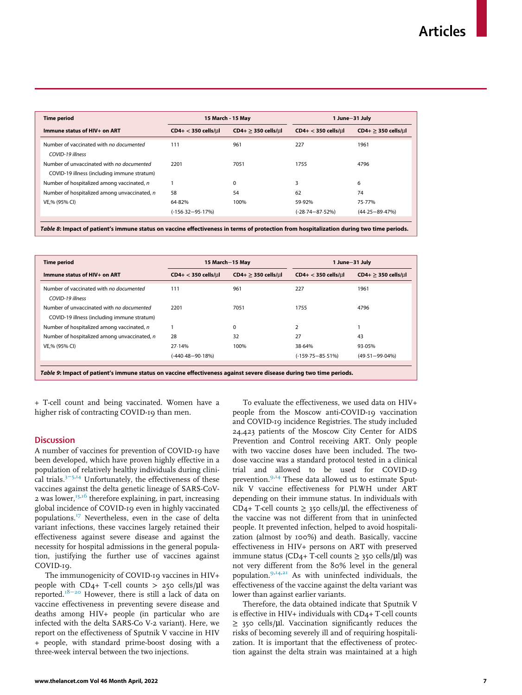<span id="page-6-0"></span>

| <b>Time period</b>                                                                       |                             | 15 March - 15 May<br>1 June-31 July |                             |                                |  |
|------------------------------------------------------------------------------------------|-----------------------------|-------------------------------------|-----------------------------|--------------------------------|--|
| Immune status of HIV+ on ART                                                             | $CD4+ < 350$ cells/ $\mu$ l | $CD4+ \geq 350$ cells/ul            | $CD4+ < 350$ cells/ $\mu$ l | $CD4+ \geq 350$ cells/ $\mu$ l |  |
| Number of vaccinated with no documented<br>COVID-19 illness                              | 111                         | 961                                 | 227                         | 1961                           |  |
| Number of unvaccinated with no documented<br>COVID-19 illness (including immune stratum) | 2201                        | 7051                                | 1755                        | 4796                           |  |
| Number of hospitalized among vaccinated, n                                               |                             | $\Omega$                            | 3                           | 6                              |  |
| Number of hospitalized among unvaccinated, n                                             | 58                          | 54                                  | 62                          | 74                             |  |
| VE,% (95% CI)                                                                            | 64.82%                      | 100%                                | 59.92%                      | 75.77%                         |  |
|                                                                                          | $(-156.32 - 95.17%)$        |                                     | (-28.74–87.52%)             | $(44.25 - 89.47%)$             |  |

Table 8: Impact of patient's immune status on vaccine effectiveness in terms of protection from hospitalization during two time periods.

<span id="page-6-1"></span>

| <b>Time period</b>                                                                       |                             | 15 March-15 May          | 1 June-31 July              |                          |
|------------------------------------------------------------------------------------------|-----------------------------|--------------------------|-----------------------------|--------------------------|
| Immune status of HIV+ on ART                                                             | $CD4+ < 350$ cells/ $\mu$ l | $CD4+ \geq 350$ cells/ul | $CD4+ < 350$ cells/ $\mu$ l | $CD4+ \geq 350$ cells/µl |
| Number of vaccinated with no documented<br>COVID-19 illness                              | 111                         | 961                      | 227                         | 1961                     |
| Number of unvaccinated with no documented<br>COVID-19 illness (including immune stratum) | 2201                        | 7051                     | 1755                        | 4796                     |
| Number of hospitalized among vaccinated, n                                               |                             | $\Omega$                 | $\overline{2}$              |                          |
| Number of hospitalized among unvaccinated, n                                             | 28                          | 32                       | 27                          | 43                       |
| VE.% (95% CI)                                                                            | 27.14%                      | 100%                     | 38.64%                      | 93.05%                   |
|                                                                                          | $(-440.48 - 90.18%)$        |                          | $(-159.75 - 85.51\%)$       | $(49.51 - 99.04\%)$      |

Table 9: Impact of patient's immune status on vaccine effectiveness against severe disease during two time periods.

+ T-cell count and being vaccinated. Women have a higher risk of contracting COVID-19 than men.

## **Discussion**

A number of vaccines for prevention of COVID-19 have been developed, which have proven highly effective in a population of relatively healthy individuals during clinical trials.3[−](#page-8-2)5,[14](#page-8-11) Unfortunately, the effectiveness of these vaccines against the delta genetic lineage of SARS-CoV-2 was lower, $15,16$  $15,16$  $15,16$  therefore explaining, in part, increasing global incidence of COVID-19 even in highly vaccinated populations.<sup>[17](#page-8-14)</sup> Nevertheless, even in the case of delta variant infections, these vaccines largely retained their effectiveness against severe disease and against the necessity for hospital admissions in the general population, justifying the further use of vaccines against COVID-19.

The immunogenicity of COVID-19 vaccines in HIV+ people with  $CD_{4+}$  T-cell counts > 250 cells/ $\mu$ l was reported.18−[20](#page-8-3) However, there is still a lack of data on vaccine effectiveness in preventing severe disease and deaths among HIV+ people (in particular who are infected with the delta SARS-Co V-2 variant). Here, we report on the effectiveness of Sputnik V vaccine in HIV + people, with standard prime-boost dosing with a three-week interval between the two injections.

To evaluate the effectiveness, we used data on HIV+ people from the Moscow anti-COVID-19 vaccination and COVID-19 incidence Registries. The study included 24,423 patients of the Moscow City Center for AIDS Prevention and Control receiving ART. Only people with two vaccine doses have been included. The twodose vaccine was a standard protocol tested in a clinical trial and allowed to be used for COVID-19 prevention.<sup>9[,14](#page-8-11)</sup> These data allowed us to estimate Sputnik V vaccine effectiveness for PLWH under ART depending on their immune status. In individuals with CD4+ T-cell counts  $\geq$  350 cells/ $\mu$ l, the effectiveness of the vaccine was not different from that in uninfected people. It prevented infection, helped to avoid hospitalization (almost by 100%) and death. Basically, vaccine effectiveness in HIV+ persons on ART with preserved immune status (CD4+ T-cell counts  $\geq$  350 cells/ $\mu$ l) was not very different from the 80% level in the general population.[9,](#page-8-6)[14,](#page-8-11)[21](#page-8-15) As with uninfected individuals, the effectiveness of the vaccine against the delta variant was lower than against earlier variants.

Therefore, the data obtained indicate that Sputnik V is effective in HIV+ individuals with CD4+ T-cell counts ≥ 350 cells/µl. Vaccination significantly reduces the risks of becoming severely ill and of requiring hospitalization. It is important that the effectiveness of protection against the delta strain was maintained at a high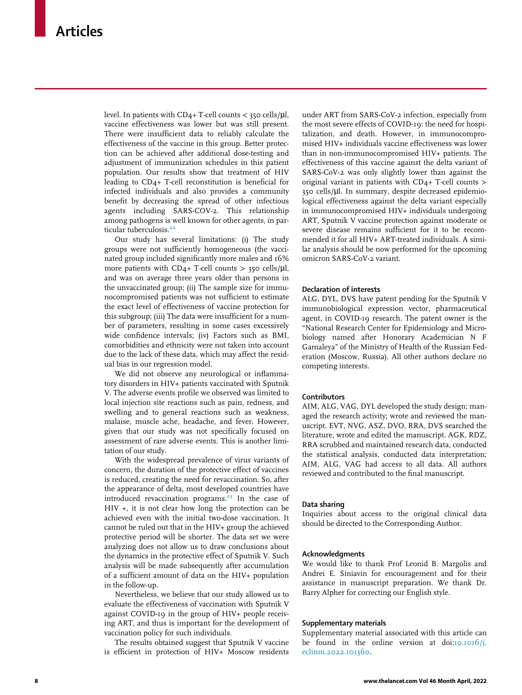level. In patients with  $CD_4+T$ -cell counts < 350 cells/ $\mu$ l, vaccine effectiveness was lower but was still present. There were insufficient data to reliably calculate the effectiveness of the vaccine in this group. Better protection can be achieved after additional dose-testing and adjustment of immunization schedules in this patient population. Our results show that treatment of HIV leading to CD4+ T-cell reconstitution is beneficial for infected individuals and also provides a community benefit by decreasing the spread of other infectious agents including SARS-COV-2. This relationship among pathogens is well known for other agents, in par-ticular tuberculosis.<sup>[22](#page-8-16)</sup>

Our study has several limitations: (i) The study groups were not sufficiently homogeneous (the vaccinated group included significantly more males and 16% more patients with  $CD_{4+}$  T-cell counts > 350 cells/ $\mu$ l, and was on average three years older than persons in the unvaccinated group; (ii) The sample size for immunocompromised patients was not sufficient to estimate the exact level of effectiveness of vaccine protection for this subgroup; (iii) The data were insufficient for a number of parameters, resulting in some cases excessively wide confidence intervals; (iv) Factors such as BMI, comorbidities and ethnicity were not taken into account due to the lack of these data, which may affect the residual bias in our regression model.

We did not observe any neurological or inflammatory disorders in HIV+ patients vaccinated with Sputnik V. The adverse events profile we observed was limited to local injection site reactions such as pain, redness, and swelling and to general reactions such as weakness, malaise, muscle ache, headache, and fever. However, given that our study was not specifically focused on assessment of rare adverse events. This is another limitation of our study.

With the widespread prevalence of virus variants of concern, the duration of the protective effect of vaccines is reduced, creating the need for revaccination. So, after the appearance of delta, most developed countries have introduced revaccination programs.<sup>[23](#page-8-17)</sup> In the case of HIV +, it is not clear how long the protection can be achieved even with the initial two-dose vaccination. It cannot be ruled out that in the HIV+ group the achieved protective period will be shorter. The data set we were analyzing does not allow us to draw conclusions about the dynamics in the protective effect of Sputnik V. Such analysis will be made subsequently after accumulation of a sufficient amount of data on the HIV+ population in the follow-up.

Nevertheless, we believe that our study allowed us to evaluate the effectiveness of vaccination with Sputnik V against COVID-19 in the group of HIV+ people receiving ART, and thus is important for the development of vaccination policy for such individuals.

The results obtained suggest that Sputnik V vaccine is efficient in protection of HIV+ Moscow residents

under ART from SARS-CoV-2 infection, especially from the most severe effects of COVID-19: the need for hospitalization, and death. However, in immunocompromised HIV+ individuals vaccine effectiveness was lower than in non-immunocompromised HIV+ patients. The effectiveness of this vaccine against the delta variant of SARS-CoV-2 was only slightly lower than against the original variant in patients with CD4+ T-cell counts > 350 cells/µl. In summary, despite decreased epidemiological effectiveness against the delta variant especially in immunocompromised HIV+ individuals undergoing ART, Sputnik V vaccine protection against moderate or severe disease remains sufficient for it to be recommended it for all HIV+ ART-treated individuals. A similar analysis should be now performed for the upcoming omicron SARS-CoV-2 variant.

## Declaration of interests

ALG, DYL, DVS have patent pending for the Sputnik V immunobiological expression vector, pharmaceutical agent, in COVID-19 research. The patent owner is the "National Research Center for Epidemiology and Microbiology named after Honorary Academician N F Gamaleya" of the Ministry of Health of the Russian Federation (Moscow, Russia). All other authors declare no competing interests.

## **Contributors**

AIM, ALG, VAG, DYL developed the study design; managed the research activity; wrote and reviewed the manuscript. EVT, NVG, ASZ, DVO, RRA, DVS searched the literature, wrote and edited the manuscript. AGK, RDZ, RRA scrubbed and maintained research data, conducted the statistical analysis, conducted data interpretation; AIM, ALG, VAG had access to all data. All authors reviewed and contributed to the final manuscript.

#### Data sharing

Inquiries about access to the original clinical data should be directed to the Corresponding Author.

#### Acknowledgments

We would like to thank Prof Leonid B. Margolis and Andrei E. Siniavin for encouragement and for their assistance in manuscript preparation. We thank Dr. Barry Alpher for correcting our English style.

#### Supplementary materials

Supplementary material associated with this article can be found in the online version at doi[:10.1016/j.](https://doi.org/10.1016/j.eclinm.2022.101360) [eclinm.2022.101360](https://doi.org/10.1016/j.eclinm.2022.101360).